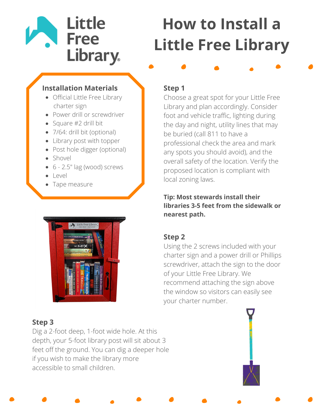## **Little Free** Library.

# **How to Install a Little Free Library**

#### **Installation Materials**

- Official Little Free Library charter sign
- Power drill or screwdriver
- Square #2 drill bit
- 7/64: drill bit (optional)
- Library post with topper
- Post hole digger (optional)
- Shovel
- 6 2.5" lag (wood) screws
- Level
- Tape measure



### **Step 1**

Choose a great spot for your Little Free Library and plan accordingly. Consider foot and vehicle traffic, lighting during the day and night, utility lines that may be buried (call 811 to have a professional check the area and mark any spots you should avoid), and the overall safety of the location. Verify the proposed location is compliant with local zoning laws.

#### **Tip: Most stewards install their libraries 3-5 feet from the sidewalk or nearest path.**

#### **Step 2**

Using the 2 screws included with your charter sign and a power drill or Phillips screwdriver, attach the sign to the door of your Little Free Library. We recommend attaching the sign above the window so visitors can easily see your charter number.

#### **Step 3**

Dig a 2-foot deep, 1-foot wide hole. At this depth, your 5-foot library post will sit about 3 feet off the ground. You can dig a deeper hole if you wish to make the library more accessible to small children.